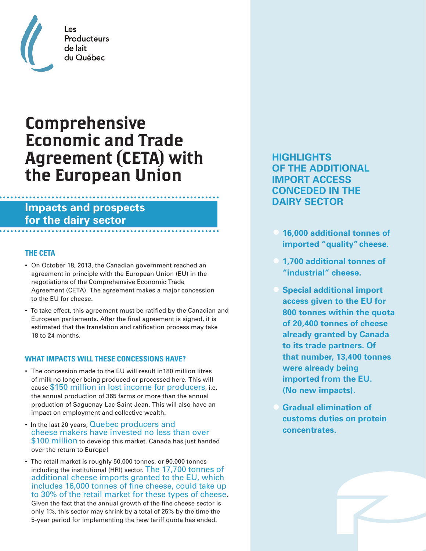

## Producteurs du Québec

# Comprehensive Economic and Trade Agreement (CETA) with the European Union

### **Impacts and prospects for the dairy sector**

#### **THE CETA**

- On October 18, 2013, the Canadian government reached an agreement in principle with the European Union (EU) in the negotiations of the Comprehensive Economic Trade Agreement (CETA). The agreement makes a major concession to the EU for cheese.
- To take effect, this agreement must be ratified by the Canadian and European parliaments. After the final agreement is signed, it is estimated that the translation and ratification process may take 18 to 24 months.

#### **WHAT IMPACTS WILL THESE CONCESSIONS HAVE?**

- The concession made to the EU will result in180 million litres of milk no longer being produced or processed here. This will cause \$150 million in lost income for producers, i.e. the annual production of 365 farms or more than the annual production of Saguenay-Lac-Saint-Jean. This will also have an impact on employment and collective wealth.
- In the last 20 years, Quebec producers and cheese makers have invested no less than over \$100 million to develop this market. Canada has just handed over the return to Europe!
- The retail market is roughly 50,000 tonnes, or 90,000 tonnes including the institutional (HRI) sector. The 17,700 tonnes of additional cheese imports granted to the EU, which includes 16,000 tonnes of fine cheese, could take up to 30% of the retail market for these types of cheese. Given the fact that the annual growth of the fine cheese sector is only 1%, this sector may shrink by a total of 25% by the time the 5-year period for implementing the new tariff quota has ended.

**HIGHLIGHTS OF THE ADDITIONAL IMPORT ACCESS CONCEDED IN THE DAIRY SECTOR**

- **• 16,000 additional tonnes of imported "quality" cheese.**
- **• 1,700 additional tonnes of "industrial" cheese.**
- **• Special additional import access given to the EU for 800 tonnes within the quota of 20,400 tonnes of cheese already granted by Canada to its trade partners. Of that number, 13,400 tonnes were already being imported from the EU. (No new impacts).**
- **• Gradual elimination of customs duties on protein concentrates.**